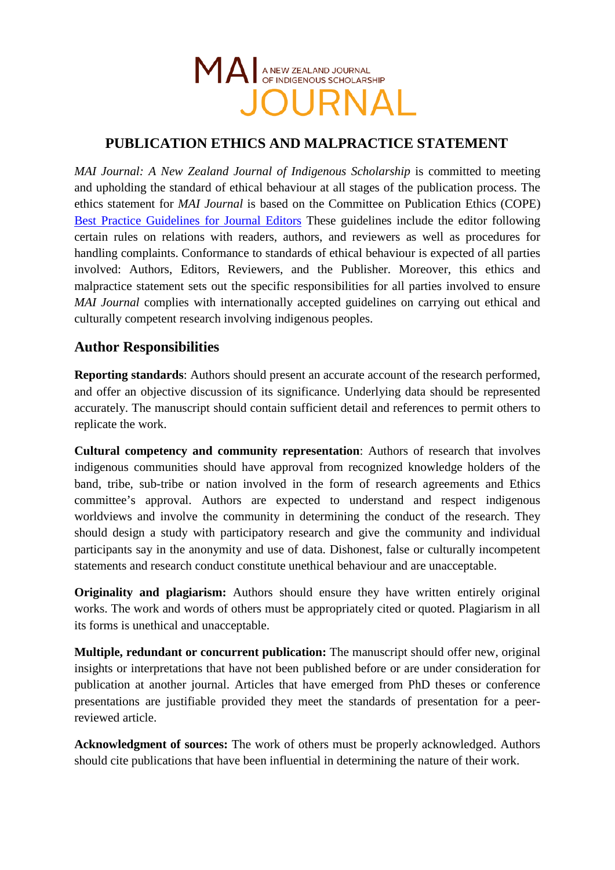

## **PUBLICATION ETHICS AND MALPRACTICE STATEMENT**

*MAI Journal: A New Zealand Journal of Indigenous Scholarship* is committed to meeting and upholding the standard of ethical behaviour at all stages of the publication process. The ethics statement for *MAI Journal* is based on the Committee on Publication Ethics (COPE) [Best Practice Guidelines for Journal Editors](http://publicationethics.org/files/Code_of_conduct_for_journal_editors.pdf) These guidelines include the editor following certain rules on relations with readers, authors, and reviewers as well as procedures for handling complaints. Conformance to standards of ethical behaviour is expected of all parties involved: Authors, Editors, Reviewers, and the Publisher. Moreover, this ethics and malpractice statement sets out the specific responsibilities for all parties involved to ensure *MAI Journal* complies with internationally accepted guidelines on carrying out ethical and culturally competent research involving indigenous peoples.

#### **Author Responsibilities**

**Reporting standards**: Authors should present an accurate account of the research performed, and offer an objective discussion of its significance. Underlying data should be represented accurately. The manuscript should contain sufficient detail and references to permit others to replicate the work.

**Cultural competency and community representation**: Authors of research that involves indigenous communities should have approval from recognized knowledge holders of the band, tribe, sub-tribe or nation involved in the form of research agreements and Ethics committee's approval. Authors are expected to understand and respect indigenous worldviews and involve the community in determining the conduct of the research. They should design a study with participatory research and give the community and individual participants say in the anonymity and use of data. Dishonest, false or culturally incompetent statements and research conduct constitute unethical behaviour and are unacceptable.

**Originality and plagiarism:** Authors should ensure they have written entirely original works. The work and words of others must be appropriately cited or quoted. Plagiarism in all its forms is unethical and unacceptable.

**Multiple, redundant or concurrent publication:** The manuscript should offer new, original insights or interpretations that have not been published before or are under consideration for publication at another journal. Articles that have emerged from PhD theses or conference presentations are justifiable provided they meet the standards of presentation for a peerreviewed article.

**Acknowledgment of sources:** The work of others must be properly acknowledged. Authors should cite publications that have been influential in determining the nature of their work.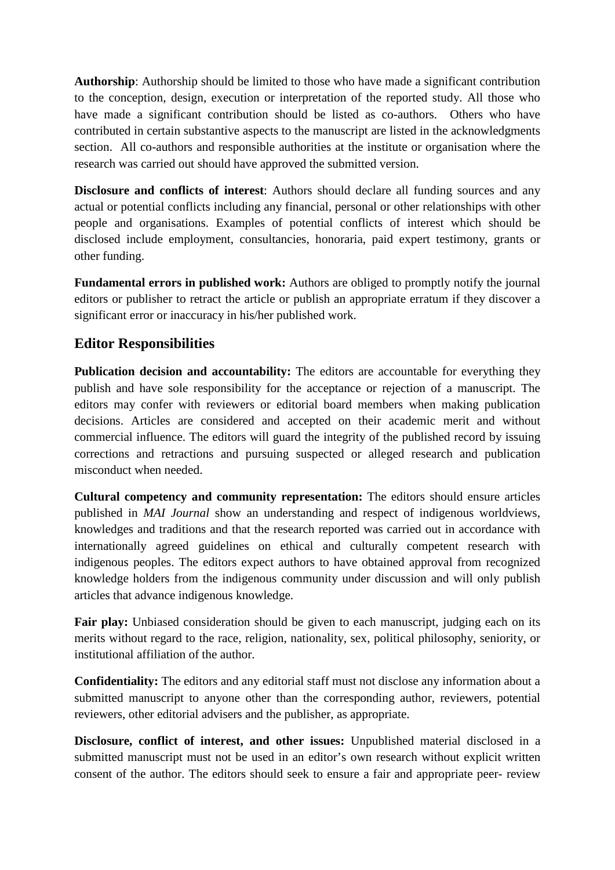**Authorship**: Authorship should be limited to those who have made a significant contribution to the conception, design, execution or interpretation of the reported study. All those who have made a significant contribution should be listed as co-authors. Others who have contributed in certain substantive aspects to the manuscript are listed in the acknowledgments section. All co-authors and responsible authorities at the institute or organisation where the research was carried out should have approved the submitted version.

**Disclosure and conflicts of interest**: Authors should declare all funding sources and any actual or potential conflicts including any financial, personal or other relationships with other people and organisations. Examples of potential conflicts of interest which should be disclosed include employment, consultancies, honoraria, paid expert testimony, grants or other funding.

**Fundamental errors in published work:** Authors are obliged to promptly notify the journal editors or publisher to retract the article or publish an appropriate erratum if they discover a significant error or inaccuracy in his/her published work.

#### **Editor Responsibilities**

**Publication decision and accountability:** The editors are accountable for everything they publish and have sole responsibility for the acceptance or rejection of a manuscript. The editors may confer with reviewers or editorial board members when making publication decisions. Articles are considered and accepted on their academic merit and without commercial influence. The editors will guard the integrity of the published record by issuing corrections and retractions and pursuing suspected or alleged research and publication misconduct when needed.

**Cultural competency and community representation:** The editors should ensure articles published in *MAI Journal* show an understanding and respect of indigenous worldviews, knowledges and traditions and that the research reported was carried out in accordance with internationally agreed guidelines on ethical and culturally competent research with indigenous peoples. The editors expect authors to have obtained approval from recognized knowledge holders from the indigenous community under discussion and will only publish articles that advance indigenous knowledge.

Fair play: Unbiased consideration should be given to each manuscript, judging each on its merits without regard to the race, religion, nationality, sex, political philosophy, seniority, or institutional affiliation of the author.

**Confidentiality:** The editors and any editorial staff must not disclose any information about a submitted manuscript to anyone other than the corresponding author, reviewers, potential reviewers, other editorial advisers and the publisher, as appropriate.

**Disclosure, conflict of interest, and other issues:** Unpublished material disclosed in a submitted manuscript must not be used in an editor's own research without explicit written consent of the author. The editors should seek to ensure a fair and appropriate peer- review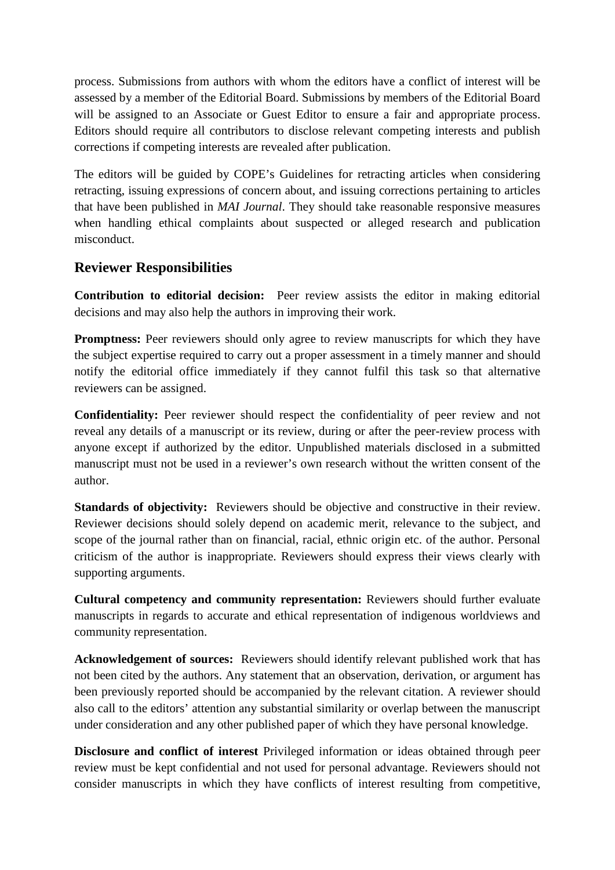process. Submissions from authors with whom the editors have a conflict of interest will be assessed by a member of the Editorial Board. Submissions by members of the Editorial Board will be assigned to an Associate or Guest Editor to ensure a fair and appropriate process. Editors should require all contributors to disclose relevant competing interests and publish corrections if competing interests are revealed after publication.

The editors will be guided by COPE's Guidelines for retracting articles when considering retracting, issuing expressions of concern about, and issuing corrections pertaining to articles that have been published in *MAI Journal*. They should take reasonable responsive measures when handling ethical complaints about suspected or alleged research and publication misconduct.

### **Reviewer Responsibilities**

**Contribution to editorial decision:** Peer review assists the editor in making editorial decisions and may also help the authors in improving their work.

**Promptness:** Peer reviewers should only agree to review manuscripts for which they have the subject expertise required to carry out a proper assessment in a timely manner and should notify the editorial office immediately if they cannot fulfil this task so that alternative reviewers can be assigned.

**Confidentiality:** Peer reviewer should respect the confidentiality of peer review and not reveal any details of a manuscript or its review, during or after the peer-review process with anyone except if authorized by the editor. Unpublished materials disclosed in a submitted manuscript must not be used in a reviewer's own research without the written consent of the author.

**Standards of objectivity:** Reviewers should be objective and constructive in their review. Reviewer decisions should solely depend on academic merit, relevance to the subject, and scope of the journal rather than on financial, racial, ethnic origin etc. of the author. Personal criticism of the author is inappropriate. Reviewers should express their views clearly with supporting arguments.

**Cultural competency and community representation:** Reviewers should further evaluate manuscripts in regards to accurate and ethical representation of indigenous worldviews and community representation.

**Acknowledgement of sources:** Reviewers should identify relevant published work that has not been cited by the authors. Any statement that an observation, derivation, or argument has been previously reported should be accompanied by the relevant citation. A reviewer should also call to the editors' attention any substantial similarity or overlap between the manuscript under consideration and any other published paper of which they have personal knowledge.

**Disclosure and conflict of interest** Privileged information or ideas obtained through peer review must be kept confidential and not used for personal advantage. Reviewers should not consider manuscripts in which they have conflicts of interest resulting from competitive,